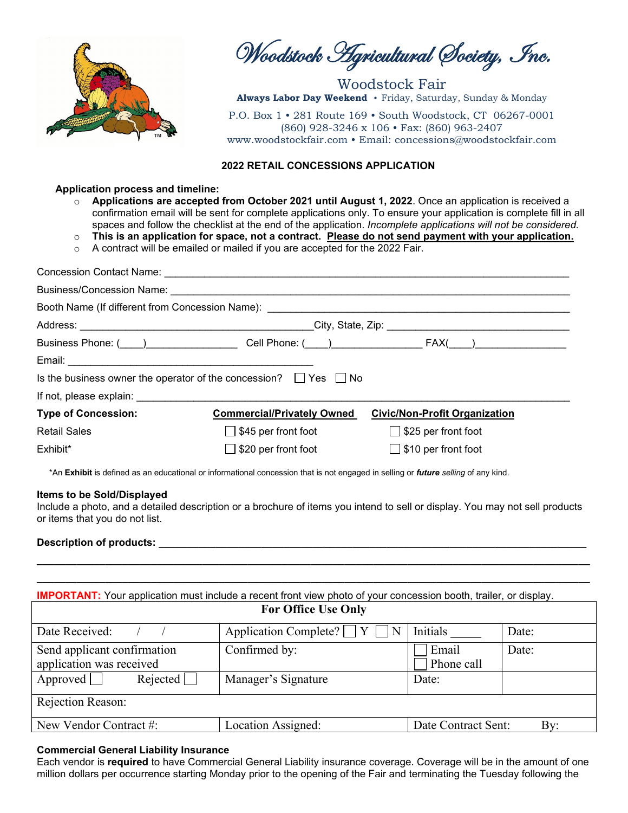

Woodstock Agricultural Society, Inc.

Woodstock Fair **Always Labor Day Weekend** • Friday, Saturday, Sunday & Monday

P.O. Box 1 • 281 Route 169 • South Woodstock, CT 06267-0001 (860) 928-3246 x 106 • Fax: (860) 963-2407 www.woodstockfair.com • Email: concessions@woodstockfair.com

## **2022 RETAIL CONCESSIONS APPLICATION**

#### **Application process and timeline:**

- o **Applications are accepted from October 2021 until August 1, 2022**. Once an application is received a confirmation email will be sent for complete applications only. To ensure your application is complete fill in all spaces and follow the checklist at the end of the application. *Incomplete applications will not be considered.*
- o **This is an application for space, not a contract. Please do not send payment with your application.**
- o A contract will be emailed or mailed if you are accepted for the 2022 Fair.

| Business/Concession Name: <b>Algebra 2016</b> Contract Contract Contract Contract Contract Contract Contract Contract Contract Contract Contract Contract Contract Contract Contract Contract Contract Contract Contract Contract C |                                   |                                      |  |  |  |  |
|-------------------------------------------------------------------------------------------------------------------------------------------------------------------------------------------------------------------------------------|-----------------------------------|--------------------------------------|--|--|--|--|
| Booth Name (If different from Concession Name): _________________________________                                                                                                                                                   |                                   |                                      |  |  |  |  |
|                                                                                                                                                                                                                                     |                                   |                                      |  |  |  |  |
| Business Phone: (___)_______________________Cell Phone: (___)______________________FAX(___)_________                                                                                                                                |                                   |                                      |  |  |  |  |
|                                                                                                                                                                                                                                     |                                   |                                      |  |  |  |  |
| Is the business owner the operator of the concession? $\Box$ Yes $\Box$ No                                                                                                                                                          |                                   |                                      |  |  |  |  |
|                                                                                                                                                                                                                                     |                                   |                                      |  |  |  |  |
| <b>Type of Concession:</b>                                                                                                                                                                                                          | <b>Commercial/Privately Owned</b> | <b>Civic/Non-Profit Organization</b> |  |  |  |  |
| <b>Retail Sales</b>                                                                                                                                                                                                                 | $\Box$ \$45 per front foot        | $\Box$ \$25 per front foot           |  |  |  |  |
| Exhibit*                                                                                                                                                                                                                            | $\Box$ \$20 per front foot        | $\Box$ \$10 per front foot           |  |  |  |  |

\*An **Exhibit** is defined as an educational or informational concession that is not engaged in selling or *future selling* of any kind.

#### **Items to be Sold/Displayed**

Include a photo, and a detailed description or a brochure of items you intend to sell or display. You may not sell products or items that you do not list.

**\_\_\_\_\_\_\_\_\_\_\_\_\_\_\_\_\_\_\_\_\_\_\_\_\_\_\_\_\_\_\_\_\_\_\_\_\_\_\_\_\_\_\_\_\_\_\_\_\_\_\_\_\_\_\_\_\_\_\_\_\_\_\_\_\_\_\_\_\_\_\_\_\_\_\_\_\_\_\_\_\_\_\_\_\_\_\_\_\_\_\_\_\_\_\_\_\_**

#### **Description of products: \_\_\_\_\_\_\_\_\_\_\_\_\_\_\_\_\_\_\_\_\_\_\_\_\_\_\_\_\_\_\_\_\_\_\_\_\_\_\_\_\_\_\_\_\_\_\_\_\_\_\_\_\_\_\_\_\_\_\_\_\_\_\_\_\_\_\_\_\_\_\_\_\_\_\_**

| <b>IMPORTANT:</b> Your application must include a recent front view photo of your concession booth, trailer, or display. |                                 |                     |            |  |  |
|--------------------------------------------------------------------------------------------------------------------------|---------------------------------|---------------------|------------|--|--|
| <b>For Office Use Only</b>                                                                                               |                                 |                     |            |  |  |
| Date Received:                                                                                                           | Application Complete?<br>Y<br>N | Initials            | Date:      |  |  |
| Send applicant confirmation<br>application was received                                                                  | Confirmed by:                   | Email<br>Phone call | Date:      |  |  |
| Approved<br>Rejected                                                                                                     | Manager's Signature             | Date:               |            |  |  |
| Rejection Reason:                                                                                                        |                                 |                     |            |  |  |
| New Vendor Contract #:                                                                                                   | Location Assigned:              | Date Contract Sent: | $\rm{By:}$ |  |  |

#### **Commercial General Liability Insurance**

Each vendor is **required** to have Commercial General Liability insurance coverage. Coverage will be in the amount of one million dollars per occurrence starting Monday prior to the opening of the Fair and terminating the Tuesday following the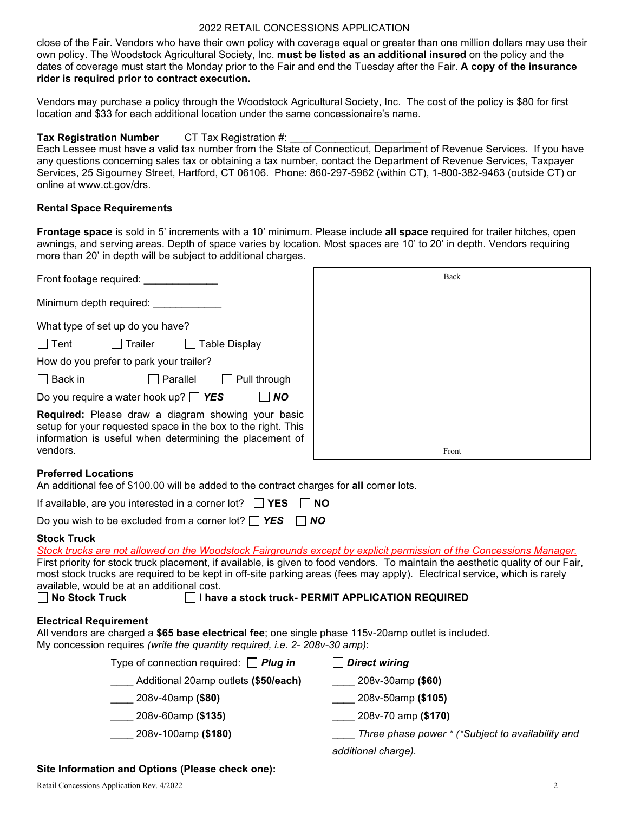# 2022 RETAIL CONCESSIONS APPLICATION

close of the Fair. Vendors who have their own policy with coverage equal or greater than one million dollars may use their own policy. The Woodstock Agricultural Society, Inc. **must be listed as an additional insured** on the policy and the dates of coverage must start the Monday prior to the Fair and end the Tuesday after the Fair. **A copy of the insurance rider is required prior to contract execution.**

Vendors may purchase a policy through the Woodstock Agricultural Society, Inc. The cost of the policy is \$80 for first location and \$33 for each additional location under the same concessionaire's name.

# **Tax Registration Number** CT Tax Registration #:

Each Lessee must have a valid tax number from the State of Connecticut, Department of Revenue Services. If you have any questions concerning sales tax or obtaining a tax number, contact the Department of Revenue Services, Taxpayer Services, 25 Sigourney Street, Hartford, CT 06106. Phone: 860-297-5962 (within CT), 1-800-382-9463 (outside CT) or online at www.ct.gov/drs.

# **Rental Space Requirements**

**Frontage space** is sold in 5' increments with a 10' minimum. Please include **all space** required for trailer hitches, open awnings, and serving areas. Depth of space varies by location. Most spaces are 10' to 20' in depth. Vendors requiring more than 20' in depth will be subject to additional charges.

| Front footage required:                                                                                                                                                                          | Back  |
|--------------------------------------------------------------------------------------------------------------------------------------------------------------------------------------------------|-------|
| Minimum depth required:                                                                                                                                                                          |       |
| What type of set up do you have?                                                                                                                                                                 |       |
| <b>Table Display</b><br>∣ Tent<br>l Trailer                                                                                                                                                      |       |
| How do you prefer to park your trailer?                                                                                                                                                          |       |
| $\Box$ Back in<br>  Parallel<br>Pull through                                                                                                                                                     |       |
| Do you require a water hook up? $\Box$ YES<br>$\overline{N}$                                                                                                                                     |       |
| <b>Required:</b> Please draw a diagram showing your basic<br>setup for your requested space in the box to the right. This<br>information is useful when determining the placement of<br>vendors. |       |
|                                                                                                                                                                                                  | Front |

## **Preferred Locations**

An additional fee of \$100.00 will be added to the contract charges for **all** corner lots.

If available, are you interested in a corner lot? **Fig. 2018 NO** 

Do you wish to be excluded from a corner lot? *YES NO* 

# **Stock Truck**

| Stock trucks are not allowed on the Woodstock Fairgrounds except by explicit permission of the Concessions Manager.                                                                                                |                                                   |  |  |  |  |
|--------------------------------------------------------------------------------------------------------------------------------------------------------------------------------------------------------------------|---------------------------------------------------|--|--|--|--|
| First priority for stock truck placement, if available, is given to food vendors. To maintain the aesthetic quality of our Fair,                                                                                   |                                                   |  |  |  |  |
| most stock trucks are required to be kept in off-site parking areas (fees may apply). Electrical service, which is rarely                                                                                          |                                                   |  |  |  |  |
| available, would be at an additional cost.                                                                                                                                                                         |                                                   |  |  |  |  |
| $\Box$ No Stock Truck                                                                                                                                                                                              | I have a stock truck- PERMIT APPLICATION REQUIRED |  |  |  |  |
| <b>Electrical Requirement</b><br>All vendors are charged a \$65 base electrical fee; one single phase 115v-20amp outlet is included.<br>My concession requires (write the quantity required, i.e. 2- 208v-30 amp): |                                                   |  |  |  |  |
| Type of connection required: $\Box$ Plug in                                                                                                                                                                        | $\Box$ Direct wiring                              |  |  |  |  |
| Additional 20amp outlets (\$50/each)                                                                                                                                                                               | 208v-30amp (\$60)                                 |  |  |  |  |
| 208v-40amp (\$80)                                                                                                                                                                                                  | 208v-50amp (\$105)                                |  |  |  |  |
| 208v-60amp (\$135)                                                                                                                                                                                                 | 208v-70 amp (\$170)                               |  |  |  |  |
| 208v-100amp (\$180)                                                                                                                                                                                                | Three phase power * (*Subject to availability and |  |  |  |  |

*additional charge).*

## **Site Information and Options (Please check one):**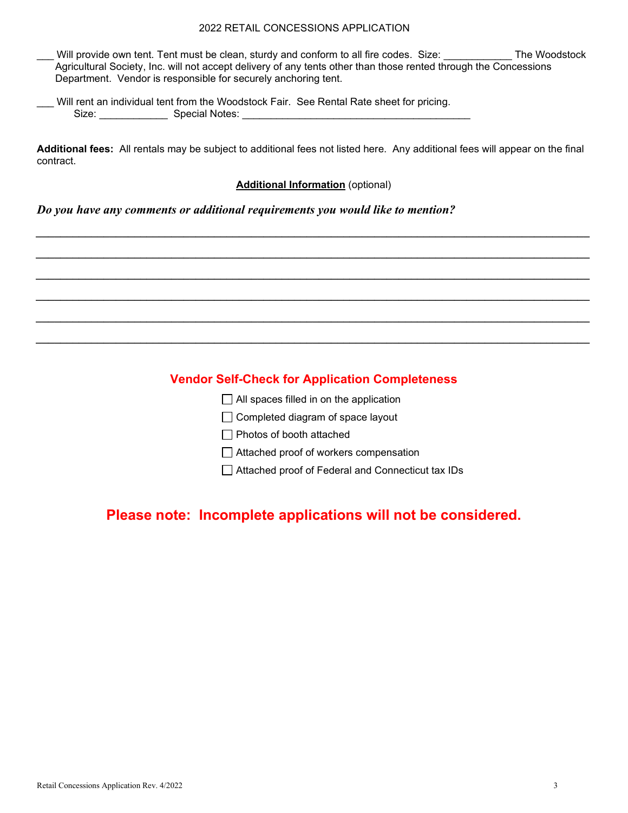# 2022 RETAIL CONCESSIONS APPLICATION

Will provide own tent. Tent must be clean, sturdy and conform to all fire codes. Size: \_\_\_\_\_\_\_\_\_\_\_ The Woodstock Agricultural Society, Inc. will not accept delivery of any tents other than those rented through the Concessions Department. Vendor is responsible for securely anchoring tent.

|       |                | Will rent an individual tent from the Woodstock Fair. See Rental Rate sheet for pricing. |
|-------|----------------|------------------------------------------------------------------------------------------|
| Size: | Special Notes: |                                                                                          |

**Additional fees:** All rentals may be subject to additional fees not listed here. Any additional fees will appear on the final contract.

## **Additional Information** (optional)

*\_\_\_\_\_\_\_\_\_\_\_\_\_\_\_\_\_\_\_\_\_\_\_\_\_\_\_\_\_\_\_\_\_\_\_\_\_\_\_\_\_\_\_\_\_\_\_\_\_\_\_\_\_\_\_\_\_\_\_\_\_\_\_\_\_\_\_\_\_\_\_\_\_\_\_\_\_\_\_\_\_\_\_\_\_\_\_\_\_\_*

*\_\_\_\_\_\_\_\_\_\_\_\_\_\_\_\_\_\_\_\_\_\_\_\_\_\_\_\_\_\_\_\_\_\_\_\_\_\_\_\_\_\_\_\_\_\_\_\_\_\_\_\_\_\_\_\_\_\_\_\_\_\_\_\_\_\_\_\_\_\_\_\_\_\_\_\_\_\_\_\_\_\_\_\_\_\_\_\_\_\_*

*\_\_\_\_\_\_\_\_\_\_\_\_\_\_\_\_\_\_\_\_\_\_\_\_\_\_\_\_\_\_\_\_\_\_\_\_\_\_\_\_\_\_\_\_\_\_\_\_\_\_\_\_\_\_\_\_\_\_\_\_\_\_\_\_\_\_\_\_\_\_\_\_\_\_\_\_\_\_\_\_\_\_\_\_\_\_\_\_\_\_*

*\_\_\_\_\_\_\_\_\_\_\_\_\_\_\_\_\_\_\_\_\_\_\_\_\_\_\_\_\_\_\_\_\_\_\_\_\_\_\_\_\_\_\_\_\_\_\_\_\_\_\_\_\_\_\_\_\_\_\_\_\_\_\_\_\_\_\_\_\_\_\_\_\_\_\_\_\_\_\_\_\_\_\_\_\_\_\_\_\_\_*

*\_\_\_\_\_\_\_\_\_\_\_\_\_\_\_\_\_\_\_\_\_\_\_\_\_\_\_\_\_\_\_\_\_\_\_\_\_\_\_\_\_\_\_\_\_\_\_\_\_\_\_\_\_\_\_\_\_\_\_\_\_\_\_\_\_\_\_\_\_\_\_\_\_\_\_\_\_\_\_\_\_\_\_\_\_\_\_\_\_\_*

*\_\_\_\_\_\_\_\_\_\_\_\_\_\_\_\_\_\_\_\_\_\_\_\_\_\_\_\_\_\_\_\_\_\_\_\_\_\_\_\_\_\_\_\_\_\_\_\_\_\_\_\_\_\_\_\_\_\_\_\_\_\_\_\_\_\_\_\_\_\_\_\_\_\_\_\_\_\_\_\_\_\_\_\_\_\_\_\_\_\_*

# *Do you have any comments or additional requirements you would like to mention?*

# **Vendor Self-Check for Application Completeness**

|                          |  |  | $\Box$ All spaces filled in on the application |  |
|--------------------------|--|--|------------------------------------------------|--|
| $\overline{\phantom{0}}$ |  |  |                                                |  |

- $\Box$  Completed diagram of space layout
- Photos of booth attached
- Attached proof of workers compensation

Attached proof of Federal and Connecticut tax IDs

# **Please note: Incomplete applications will not be considered.**